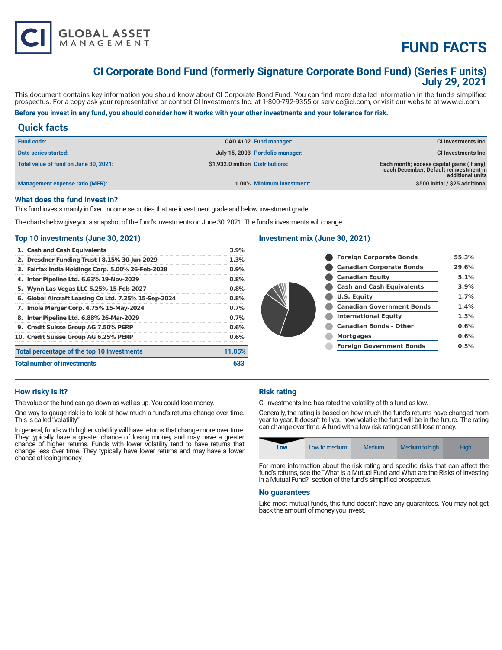

**additional units** 

# **CI Corporate Bond Fund (formerly Signature Corporate Bond Fund) (Series F units) July 29, 2021**

This document contains key information you should know about CI Corporate Bond Fund. You can find more detailed information in the fund's simplified prospectus. For a copy ask your representative or contact CI Investments Inc. at 1-800-792-9355 or service@ci.com, or visit our website at www.ci.com.

# **Before you invest in any fund, you should consider how it works with your other investments and your tolerance for risk.**

# **Quick facts Fund code: CAD 4102 Fund manager: CI Investments Inc. Date series started: July 15, 2003 Portfolio manager: CI Investments Inc. Total value of fund on June 30, 2021: \$1,932.0 million Distributions: Each month; excess capital gains (if any), each December; Default reinvestment in**

| <b>Management expense ratio (MER):</b> |  |  |
|----------------------------------------|--|--|
|----------------------------------------|--|--|

## **What does the fund invest in?**

This fund invests mainly in fixed income securities that are investment grade and below investment grade.

The charts below give you a snapshot of the fund's investments on June 30, 2021. The fund's investments will change.

# **Top 10 investments (June 30, 2021)**

**GLOBAL ASSET**<br>MANAGEMENT

| <b>Total number of investments</b>                   | 633     |
|------------------------------------------------------|---------|
| Total percentage of the top 10 investments           | 11.05%  |
| 10. Credit Suisse Group AG 6.25% PERP                | 0.6%    |
| 9. Credit Suisse Group AG 7.50% PERP                 | 0.6%    |
| 8. Inter Pipeline Ltd. 6.88% 26-Mar-2029             | $0.7\%$ |
| 7. Imola Merger Corp. 4.75% 15-May-2024              | 0.7%    |
| 6. Global Aircraft Leasing Co Ltd. 7.25% 15-Sep-2024 | 0.8%    |
| 5. Wynn Las Vegas LLC 5.25% 15-Feb-2027              | 0.8%    |
| 4. Inter Pipeline Ltd. 6.63% 19-Nov-2029             | 0.8%    |
| 3. Fairfax India Holdings Corp. 5.00% 26-Feb-2028    | 0.9%    |
| 2. Dresdner Funding Trust I 8.15% 30-Jun-2029        | 1.3%    |
| 1. Cash and Cash Equivalents                         | 3.9%    |

# **Investment mix (June 30, 2021)**

|  | <b>Foreign Corporate Bonds</b>   | 55.3% |
|--|----------------------------------|-------|
|  | <b>Canadian Corporate Bonds</b>  | 29.6% |
|  | <b>Canadian Equity</b>           | 5.1%  |
|  | <b>Cash and Cash Equivalents</b> | 3.9%  |
|  | U.S. Equity                      | 1.7%  |
|  | <b>Canadian Government Bonds</b> | 1.4%  |
|  | <b>International Equity</b>      | 1.3%  |
|  | <b>Canadian Bonds - Other</b>    | 0.6%  |
|  | <b>Mortgages</b>                 | 0.6%  |
|  | <b>Foreign Government Bonds</b>  | 0.5%  |
|  |                                  |       |

**Minimum investment:** 1.00% Minimum investment: **1.00% Minimum investment:** \$500 initial / \$25 additional

# **How risky is it?**

The value of the fund can go down as well as up. You could lose money.

One way to gauge risk is to look at how much a fund's returns change over time. This is called "volatility".

In general, funds with higher volatility will have returns that change more over time. They typically have a greater chance of losing money and may have a greater chance of higher returns. Funds with lower volatility tend to have returns that change less over time. They typically have lower returns and may have a lower chance of losing money.

# **Risk rating**

CI Investments Inc. has rated the volatility of this fund as low.

Generally, the rating is based on how much the fund's returns have changed from year to year. It doesn't tell you how volatile the fund will be in the future. The rating can change over time. A fund with a low risk rating can still lose money.



For more information about the risk rating and specific risks that can affect the fund's returns, see the "What is a Mutual Fund and What are the Risks of Investing in a Mutual Fund?" section of the fund's simplified prospectus.

## **No guarantees**

Like most mutual funds, this fund doesn't have any guarantees. You may not get back the amount of money you invest.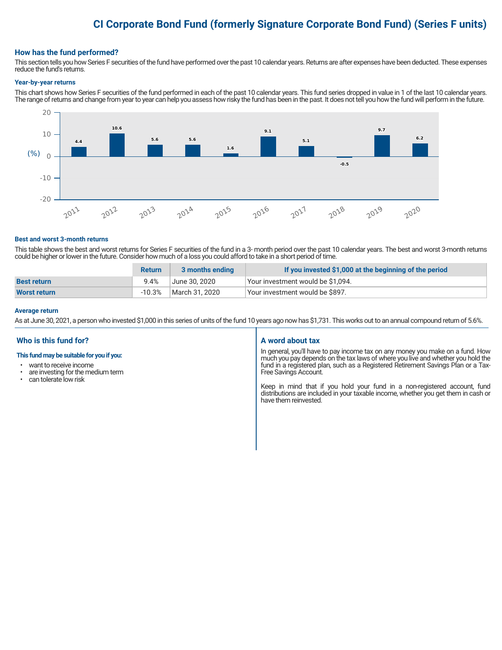# **CI Corporate Bond Fund (formerly Signature Corporate Bond Fund) (Series F units)**

## **How has the fund performed?**

This section tells you how Series F securities of the fund have performed over the past 10 calendar years. Returns are after expenses have been deducted. These expenses reduce the fund's returns.

#### **Year-by-year returns**

This chart shows how Series F securities of the fund performed in each of the past 10 calendar years. This fund series dropped in value in 1 of the last 10 calendar years. The range of returns and change from year to year can help you assess how risky the fund has been in the past. It does not tell you how the fund will perform in the future.



#### **Best and worst 3-month returns**

This table shows the best and worst returns for Series F securities of the fund in a 3- month period over the past 10 calendar years. The best and worst 3-month returns could be higher or lower in the future. Consider how much of a loss you could afford to take in a short period of time.

|                     | <b>Return</b> | 3 months ending | If you invested \$1,000 at the beginning of the period |
|---------------------|---------------|-----------------|--------------------------------------------------------|
| <b>Best return</b>  | 9.4%          | June 30. 2020   | Your investment would be \$1,094.                      |
| <b>Worst return</b> | $-10.3%$      | March 31, 2020  | Your investment would be \$897.                        |

#### **Average return**

As at June 30, 2021, a person who invested \$1,000 in this series of units of the fund 10 years ago now has \$1,731. This works out to an annual compound return of 5.6%.

# **Who is this fund for?**

#### **This fund may be suitable for you if you:**

- want to receive income
- are investing for the medium term<br>• can telerate low risk
- can tolerate low risk

## **A word about tax**

In general, you'll have to pay income tax on any money you make on a fund. How much you pay depends on the tax laws of where you live and whether you hold the fund in a registered plan, such as a Registered Retirement Savings Plan or a Tax-Free Savings Account.

Keep in mind that if you hold your fund in a non-registered account, fund distributions are included in your taxable income, whether you get them in cash or have them reinvested.